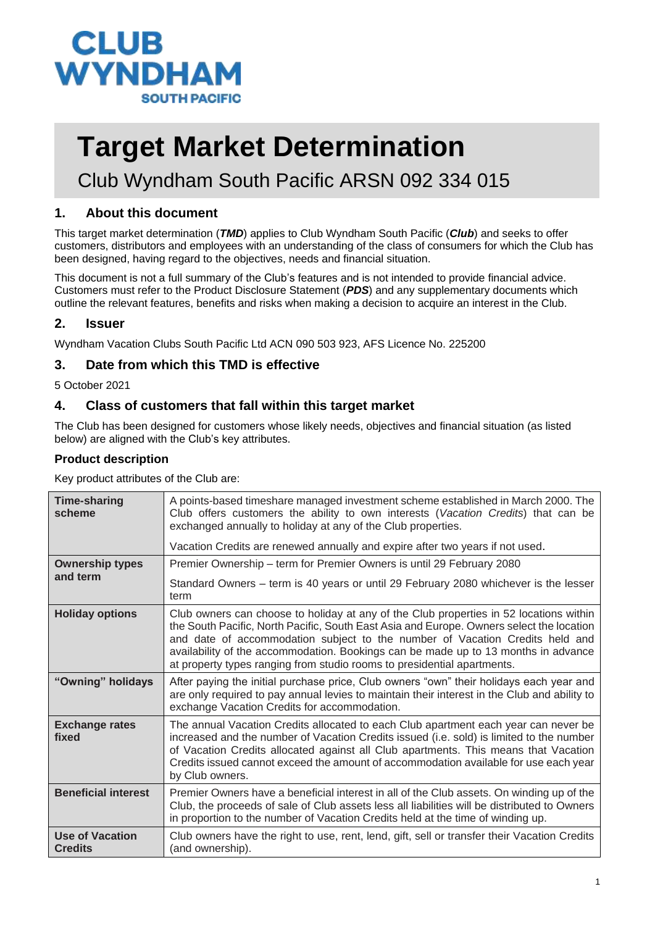

# **Target Market Determination**

Club Wyndham South Pacific ARSN 092 334 015

#### **1. About this document**

This target market determination (*TMD*) applies to Club Wyndham South Pacific (*Club*) and seeks to offer customers, distributors and employees with an understanding of the class of consumers for which the Club has been designed, having regard to the objectives, needs and financial situation.

This document is not a full summary of the Club's features and is not intended to provide financial advice. Customers must refer to the Product Disclosure Statement (*PDS*) and any supplementary documents which outline the relevant features, benefits and risks when making a decision to acquire an interest in the Club.

#### **2. Issuer**

Wyndham Vacation Clubs South Pacific Ltd ACN 090 503 923, AFS Licence No. 225200

#### **3. Date from which this TMD is effective**

5 October 2021

#### **4. Class of customers that fall within this target market**

The Club has been designed for customers whose likely needs, objectives and financial situation (as listed below) are aligned with the Club's key attributes.

#### **Product description**

Key product attributes of the Club are:

| <b>Time-sharing</b><br>scheme            | A points-based timeshare managed investment scheme established in March 2000. The<br>Club offers customers the ability to own interests (Vacation Credits) that can be<br>exchanged annually to holiday at any of the Club properties.                                                                                                                                                                                              |  |
|------------------------------------------|-------------------------------------------------------------------------------------------------------------------------------------------------------------------------------------------------------------------------------------------------------------------------------------------------------------------------------------------------------------------------------------------------------------------------------------|--|
|                                          | Vacation Credits are renewed annually and expire after two years if not used.                                                                                                                                                                                                                                                                                                                                                       |  |
| <b>Ownership types</b>                   | Premier Ownership - term for Premier Owners is until 29 February 2080                                                                                                                                                                                                                                                                                                                                                               |  |
| and term                                 | Standard Owners - term is 40 years or until 29 February 2080 whichever is the lesser<br>term                                                                                                                                                                                                                                                                                                                                        |  |
| <b>Holiday options</b>                   | Club owners can choose to holiday at any of the Club properties in 52 locations within<br>the South Pacific, North Pacific, South East Asia and Europe. Owners select the location<br>and date of accommodation subject to the number of Vacation Credits held and<br>availability of the accommodation. Bookings can be made up to 13 months in advance<br>at property types ranging from studio rooms to presidential apartments. |  |
| "Owning" holidays                        | After paying the initial purchase price, Club owners "own" their holidays each year and<br>are only required to pay annual levies to maintain their interest in the Club and ability to<br>exchange Vacation Credits for accommodation.                                                                                                                                                                                             |  |
| <b>Exchange rates</b><br>fixed           | The annual Vacation Credits allocated to each Club apartment each year can never be<br>increased and the number of Vacation Credits issued (i.e. sold) is limited to the number<br>of Vacation Credits allocated against all Club apartments. This means that Vacation<br>Credits issued cannot exceed the amount of accommodation available for use each year<br>by Club owners.                                                   |  |
| <b>Beneficial interest</b>               | Premier Owners have a beneficial interest in all of the Club assets. On winding up of the<br>Club, the proceeds of sale of Club assets less all liabilities will be distributed to Owners<br>in proportion to the number of Vacation Credits held at the time of winding up.                                                                                                                                                        |  |
| <b>Use of Vacation</b><br><b>Credits</b> | Club owners have the right to use, rent, lend, gift, sell or transfer their Vacation Credits<br>(and ownership).                                                                                                                                                                                                                                                                                                                    |  |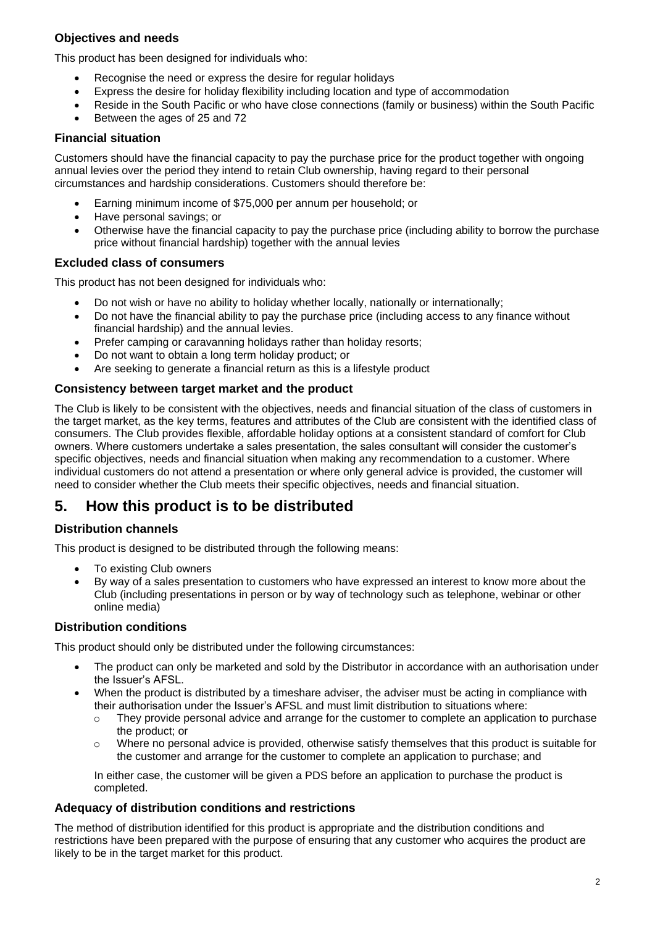#### **Objectives and needs**

This product has been designed for individuals who:

- Recognise the need or express the desire for regular holidays
- Express the desire for holiday flexibility including location and type of accommodation
- Reside in the South Pacific or who have close connections (family or business) within the South Pacific
- Between the ages of 25 and 72

#### **Financial situation**

Customers should have the financial capacity to pay the purchase price for the product together with ongoing annual levies over the period they intend to retain Club ownership, having regard to their personal circumstances and hardship considerations. Customers should therefore be:

- Earning minimum income of \$75,000 per annum per household; or
- Have personal savings; or
- Otherwise have the financial capacity to pay the purchase price (including ability to borrow the purchase price without financial hardship) together with the annual levies

#### **Excluded class of consumers**

This product has not been designed for individuals who:

- Do not wish or have no ability to holiday whether locally, nationally or internationally;
- Do not have the financial ability to pay the purchase price (including access to any finance without financial hardship) and the annual levies.
- Prefer camping or caravanning holidays rather than holiday resorts;
- Do not want to obtain a long term holiday product; or
- Are seeking to generate a financial return as this is a lifestyle product

#### **Consistency between target market and the product**

The Club is likely to be consistent with the objectives, needs and financial situation of the class of customers in the target market, as the key terms, features and attributes of the Club are consistent with the identified class of consumers. The Club provides flexible, affordable holiday options at a consistent standard of comfort for Club owners. Where customers undertake a sales presentation, the sales consultant will consider the customer's specific objectives, needs and financial situation when making any recommendation to a customer. Where individual customers do not attend a presentation or where only general advice is provided, the customer will need to consider whether the Club meets their specific objectives, needs and financial situation.

### **5. How this product is to be distributed**

#### **Distribution channels**

This product is designed to be distributed through the following means:

- To existing Club owners
- By way of a sales presentation to customers who have expressed an interest to know more about the Club (including presentations in person or by way of technology such as telephone, webinar or other online media)

#### **Distribution conditions**

This product should only be distributed under the following circumstances:

- The product can only be marketed and sold by the Distributor in accordance with an authorisation under the Issuer's AFSL.
- When the product is distributed by a timeshare adviser, the adviser must be acting in compliance with their authorisation under the Issuer's AFSL and must limit distribution to situations where:
	- $\circ$  They provide personal advice and arrange for the customer to complete an application to purchase the product; or
	- $\circ$  Where no personal advice is provided, otherwise satisfy themselves that this product is suitable for the customer and arrange for the customer to complete an application to purchase; and

In either case, the customer will be given a PDS before an application to purchase the product is completed.

#### **Adequacy of distribution conditions and restrictions**

The method of distribution identified for this product is appropriate and the distribution conditions and restrictions have been prepared with the purpose of ensuring that any customer who acquires the product are likely to be in the target market for this product.